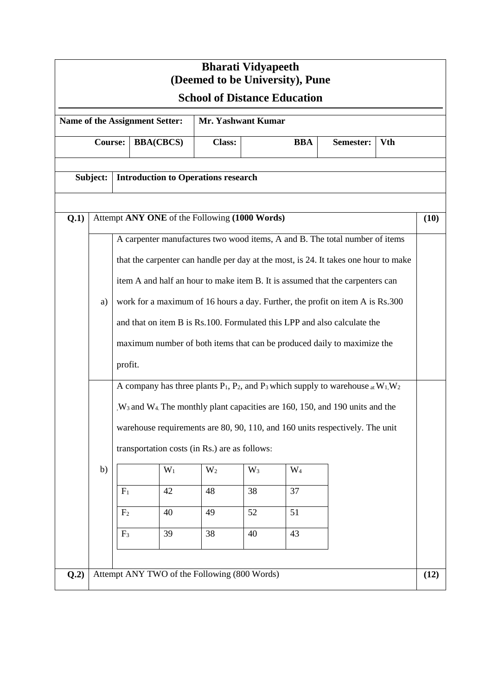| <b>Bharati Vidyapeeth</b><br>(Deemed to be University), Pune  |                                              |                                                                                                                                                                                                                                                                                                                                                                                                                                                                                                                                                                                                                                                                                                                                                                                                                                                                                                                                                                                                                             |  |                                            |  |            |           |            |  |      |  |
|---------------------------------------------------------------|----------------------------------------------|-----------------------------------------------------------------------------------------------------------------------------------------------------------------------------------------------------------------------------------------------------------------------------------------------------------------------------------------------------------------------------------------------------------------------------------------------------------------------------------------------------------------------------------------------------------------------------------------------------------------------------------------------------------------------------------------------------------------------------------------------------------------------------------------------------------------------------------------------------------------------------------------------------------------------------------------------------------------------------------------------------------------------------|--|--------------------------------------------|--|------------|-----------|------------|--|------|--|
| <b>School of Distance Education</b>                           |                                              |                                                                                                                                                                                                                                                                                                                                                                                                                                                                                                                                                                                                                                                                                                                                                                                                                                                                                                                                                                                                                             |  |                                            |  |            |           |            |  |      |  |
| <b>Mr. Yashwant Kumar</b><br>Name of the Assignment Setter:   |                                              |                                                                                                                                                                                                                                                                                                                                                                                                                                                                                                                                                                                                                                                                                                                                                                                                                                                                                                                                                                                                                             |  |                                            |  |            |           |            |  |      |  |
| <b>Course:</b><br><b>BBA(CBCS)</b>                            |                                              |                                                                                                                                                                                                                                                                                                                                                                                                                                                                                                                                                                                                                                                                                                                                                                                                                                                                                                                                                                                                                             |  | <b>Class:</b>                              |  | <b>BBA</b> | Semester: | <b>Vth</b> |  |      |  |
| Subject:                                                      |                                              |                                                                                                                                                                                                                                                                                                                                                                                                                                                                                                                                                                                                                                                                                                                                                                                                                                                                                                                                                                                                                             |  | <b>Introduction to Operations research</b> |  |            |           |            |  |      |  |
| Q.1)<br>Attempt ANY ONE of the Following (1000 Words)<br>(10) |                                              |                                                                                                                                                                                                                                                                                                                                                                                                                                                                                                                                                                                                                                                                                                                                                                                                                                                                                                                                                                                                                             |  |                                            |  |            |           |            |  |      |  |
|                                                               | a)                                           | A carpenter manufactures two wood items, A and B. The total number of items<br>that the carpenter can handle per day at the most, is 24. It takes one hour to make<br>item A and half an hour to make item B. It is assumed that the carpenters can<br>work for a maximum of 16 hours a day. Further, the profit on item A is Rs.300<br>and that on item B is Rs.100. Formulated this LPP and also calculate the<br>maximum number of both items that can be produced daily to maximize the<br>profit.<br>A company has three plants $P_1$ , $P_2$ , and $P_3$ which supply to warehouse $_{at}$ W <sub>1</sub> , W <sub>2</sub><br>, W <sub>3</sub> and W <sub>4</sub> . The monthly plant capacities are 160, 150, and 190 units and the<br>warehouse requirements are 80, 90, 110, and 160 units respectively. The unit<br>transportation costs (in Rs.) are as follows:<br>$W_1$<br>$W_2$<br>$W_3$<br>$W_4$<br>38<br>37<br>42<br>48<br>$F_1$<br>52<br>51<br>40<br>49<br>F <sub>2</sub><br>39<br>38<br>43<br>40<br>$F_3$ |  |                                            |  |            |           |            |  |      |  |
|                                                               | b)                                           |                                                                                                                                                                                                                                                                                                                                                                                                                                                                                                                                                                                                                                                                                                                                                                                                                                                                                                                                                                                                                             |  |                                            |  |            |           |            |  |      |  |
| Q.2)                                                          | Attempt ANY TWO of the Following (800 Words) |                                                                                                                                                                                                                                                                                                                                                                                                                                                                                                                                                                                                                                                                                                                                                                                                                                                                                                                                                                                                                             |  |                                            |  |            |           |            |  | (12) |  |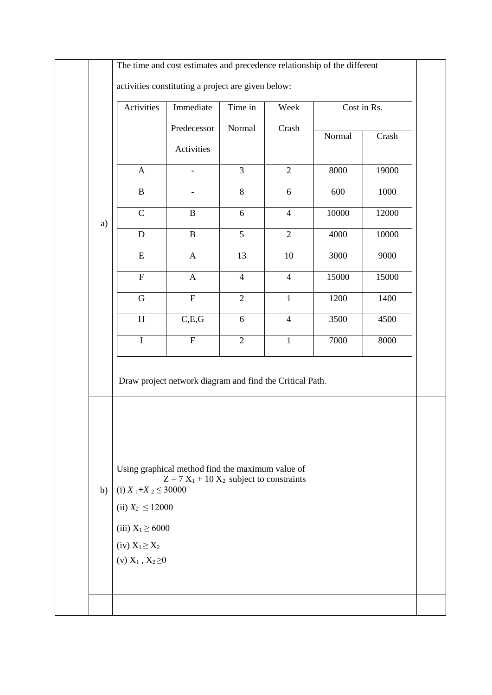|    | The time and cost estimates and precedence relationship of the different                                                                                                                                                                |                           |                 |                |             |       |  |  |
|----|-----------------------------------------------------------------------------------------------------------------------------------------------------------------------------------------------------------------------------------------|---------------------------|-----------------|----------------|-------------|-------|--|--|
|    | activities constituting a project are given below:                                                                                                                                                                                      |                           |                 |                |             |       |  |  |
|    | Activities                                                                                                                                                                                                                              | Immediate                 | Time in         | Week           | Cost in Rs. |       |  |  |
|    |                                                                                                                                                                                                                                         | Predecessor               | Normal          | Crash          | Normal      | Crash |  |  |
|    |                                                                                                                                                                                                                                         | Activities                |                 |                |             |       |  |  |
|    | $\boldsymbol{\mathsf{A}}$                                                                                                                                                                                                               |                           | $\overline{3}$  | $\overline{2}$ | 8000        | 19000 |  |  |
|    | $\overline{B}$                                                                                                                                                                                                                          |                           | $\overline{8}$  | 6              | 600         | 1000  |  |  |
| a) | $\overline{C}$                                                                                                                                                                                                                          | $\, {\bf B}$              | 6               | $\overline{4}$ | 10000       | 12000 |  |  |
|    | ${\bf D}$                                                                                                                                                                                                                               | $\, {\bf B}$              | $\overline{5}$  | $\overline{2}$ | 4000        | 10000 |  |  |
|    | $\overline{\mathrm{E}}$                                                                                                                                                                                                                 | $\mathbf{A}$              | $\overline{13}$ | 10             | 3000        | 9000  |  |  |
|    | $\overline{F}$                                                                                                                                                                                                                          | $\mathbf A$               | $\overline{4}$  | $\overline{4}$ | 15000       | 15000 |  |  |
|    | $\overline{G}$                                                                                                                                                                                                                          | $\overline{\mathrm{F}}$   | $\overline{2}$  | $\mathbf{1}$   | 1200        | 1400  |  |  |
|    | $\overline{H}$                                                                                                                                                                                                                          | C,E,G                     | 6               | $\overline{4}$ | 3500        | 4500  |  |  |
|    | $\mathbf I$                                                                                                                                                                                                                             | $\boldsymbol{\mathrm{F}}$ | $\overline{2}$  | $\mathbf{1}$   | 7000        | 8000  |  |  |
| b) | Draw project network diagram and find the Critical Path.<br>Using graphical method find the maximum value of<br>$Z = 7 X_1 + 10 X_2$ subject to constraints<br>(i) $X_1+X_2 \leq 30000$<br>(ii) $X_2 \le 12000$<br>(iii) $X_1 \ge 6000$ |                           |                 |                |             |       |  |  |
|    | $(iv) X_1 \geq X_2$<br>(v) $X_1, X_2 \ge 0$                                                                                                                                                                                             |                           |                 |                |             |       |  |  |